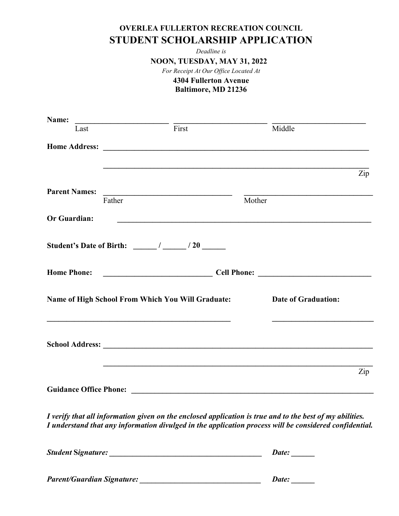## OVERLEA FULLERTON RECREATION COUNCIL STUDENT SCHOLARSHIP APPLICATION

Deadline is

NOON, TUESDAY, MAY 31, 2022

For Receipt At Our Office Located At

#### 4304 Fullerton Avenue

Baltimore, MD 21236

| Name:                             |        |                                                                                                                                                                                                                                                                                                                                                                                                                                   |        |                                                                                                                                                                                                                    |     |  |
|-----------------------------------|--------|-----------------------------------------------------------------------------------------------------------------------------------------------------------------------------------------------------------------------------------------------------------------------------------------------------------------------------------------------------------------------------------------------------------------------------------|--------|--------------------------------------------------------------------------------------------------------------------------------------------------------------------------------------------------------------------|-----|--|
| Last                              |        | $\frac{1}{\sqrt{1-\frac{1}{\sqrt{1-\frac{1}{\sqrt{1-\frac{1}{\sqrt{1-\frac{1}{\sqrt{1-\frac{1}{\sqrt{1-\frac{1}{\sqrt{1-\frac{1}{\sqrt{1-\frac{1}{\sqrt{1-\frac{1}{\sqrt{1-\frac{1}{\sqrt{1-\frac{1}{\sqrt{1-\frac{1}{\sqrt{1-\frac{1}{\sqrt{1-\frac{1}{\sqrt{1-\frac{1}{\sqrt{1-\frac{1}{\sqrt{1-\frac{1}{\sqrt{1-\frac{1}{\sqrt{1-\frac{1}{\sqrt{1-\frac{1}{\sqrt{1-\frac{1}{\sqrt{1-\frac{1}{\sqrt{1-\frac{1}{\sqrt{1-\frac{1$ |        | Middle                                                                                                                                                                                                             |     |  |
|                                   |        |                                                                                                                                                                                                                                                                                                                                                                                                                                   |        |                                                                                                                                                                                                                    |     |  |
|                                   |        |                                                                                                                                                                                                                                                                                                                                                                                                                                   |        |                                                                                                                                                                                                                    | Zip |  |
|                                   |        |                                                                                                                                                                                                                                                                                                                                                                                                                                   |        |                                                                                                                                                                                                                    |     |  |
| <b>Parent Names:</b>              | Father | <u> 1980 - Andrea Britain, politik eta politik eta politik eta politik eta politik eta politik eta politik eta p</u>                                                                                                                                                                                                                                                                                                              | Mother |                                                                                                                                                                                                                    |     |  |
| Or Guardian:                      |        | <u> 1980 - Johann John Stone, markin f</u>                                                                                                                                                                                                                                                                                                                                                                                        |        |                                                                                                                                                                                                                    |     |  |
|                                   |        |                                                                                                                                                                                                                                                                                                                                                                                                                                   |        |                                                                                                                                                                                                                    |     |  |
|                                   |        |                                                                                                                                                                                                                                                                                                                                                                                                                                   |        |                                                                                                                                                                                                                    |     |  |
|                                   |        |                                                                                                                                                                                                                                                                                                                                                                                                                                   |        | Name of High School From Which You Will Graduate: Date of Graduation:                                                                                                                                              |     |  |
|                                   |        |                                                                                                                                                                                                                                                                                                                                                                                                                                   |        |                                                                                                                                                                                                                    |     |  |
|                                   |        |                                                                                                                                                                                                                                                                                                                                                                                                                                   |        |                                                                                                                                                                                                                    | Zip |  |
|                                   |        |                                                                                                                                                                                                                                                                                                                                                                                                                                   |        |                                                                                                                                                                                                                    |     |  |
|                                   |        |                                                                                                                                                                                                                                                                                                                                                                                                                                   |        | I verify that all information given on the enclosed application is true and to the best of my abilities.<br>I understand that any information divulged in the application process will be considered confidential. |     |  |
|                                   |        |                                                                                                                                                                                                                                                                                                                                                                                                                                   |        |                                                                                                                                                                                                                    |     |  |
| <b>Parent/Guardian Signature:</b> |        |                                                                                                                                                                                                                                                                                                                                                                                                                                   |        | Date:                                                                                                                                                                                                              |     |  |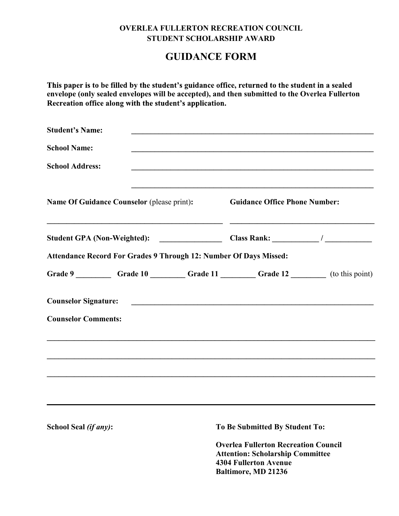## OVERLEA FULLERTON RECREATION COUNCIL STUDENT SCHOLARSHIP AWARD

## GUIDANCE FORM

This paper is to be filled by the student's guidance office, returned to the student in a sealed envelope (only sealed envelopes will be accepted), and then submitted to the Overlea Fullerton<br>Recreation office along with the student's application.

| <b>Student's Name:</b>                                                           |                                                                                                  |  |
|----------------------------------------------------------------------------------|--------------------------------------------------------------------------------------------------|--|
| <b>School Name:</b>                                                              |                                                                                                  |  |
| <b>School Address:</b>                                                           |                                                                                                  |  |
| Name Of Guidance Counselor (please print):                                       | <u> 1980 - Johann Barbara, martxa amerikan bashkar (</u><br><b>Guidance Office Phone Number:</b> |  |
|                                                                                  |                                                                                                  |  |
| Attendance Record For Grades 9 Through 12: Number Of Days Missed:                |                                                                                                  |  |
|                                                                                  |                                                                                                  |  |
|                                                                                  |                                                                                                  |  |
| <b>Counselor Comments:</b>                                                       |                                                                                                  |  |
| ,我们也不会有什么。""我们的人,我们也不会有什么?""我们的人,我们也不会有什么?""我们的人,我们也不会有什么?""我们的人,我们也不会有什么?""我们的人 |                                                                                                  |  |
|                                                                                  |                                                                                                  |  |
|                                                                                  |                                                                                                  |  |
|                                                                                  |                                                                                                  |  |
| School Seal (if any):                                                            | To Be Submitted By Student To:                                                                   |  |

Overlea Fullerton Recreation Council Attention: Scholarship Committee 4304 Fullerton Avenue Baltimore, MD 21236